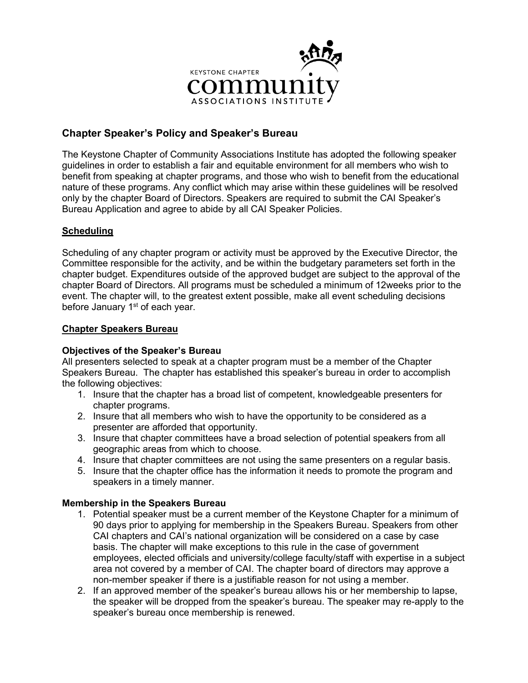

# **Chapter Speaker's Policy and Speaker's Bureau**

The Keystone Chapter of Community Associations Institute has adopted the following speaker guidelines in order to establish a fair and equitable environment for all members who wish to benefit from speaking at chapter programs, and those who wish to benefit from the educational nature of these programs. Any conflict which may arise within these guidelines will be resolved only by the chapter Board of Directors. Speakers are required to submit the CAI Speaker's Bureau Application and agree to abide by all CAI Speaker Policies.

# **Scheduling**

Scheduling of any chapter program or activity must be approved by the Executive Director, the Committee responsible for the activity, and be within the budgetary parameters set forth in the chapter budget. Expenditures outside of the approved budget are subject to the approval of the chapter Board of Directors. All programs must be scheduled a minimum of 12weeks prior to the event. The chapter will, to the greatest extent possible, make all event scheduling decisions before January  $1<sup>st</sup>$  of each year.

## **Chapter Speakers Bureau**

## **Objectives of the Speaker's Bureau**

All presenters selected to speak at a chapter program must be a member of the Chapter Speakers Bureau. The chapter has established this speaker's bureau in order to accomplish the following objectives:

- 1. Insure that the chapter has a broad list of competent, knowledgeable presenters for chapter programs.
- 2. Insure that all members who wish to have the opportunity to be considered as a presenter are afforded that opportunity.
- 3. Insure that chapter committees have a broad selection of potential speakers from all geographic areas from which to choose.
- 4. Insure that chapter committees are not using the same presenters on a regular basis.
- 5. Insure that the chapter office has the information it needs to promote the program and speakers in a timely manner.

## **Membership in the Speakers Bureau**

- 1. Potential speaker must be a current member of the Keystone Chapter for a minimum of 90 days prior to applying for membership in the Speakers Bureau. Speakers from other CAI chapters and CAI's national organization will be considered on a case by case basis. The chapter will make exceptions to this rule in the case of government employees, elected officials and university/college faculty/staff with expertise in a subject area not covered by a member of CAI. The chapter board of directors may approve a non-member speaker if there is a justifiable reason for not using a member.
- 2. If an approved member of the speaker's bureau allows his or her membership to lapse, the speaker will be dropped from the speaker's bureau. The speaker may re-apply to the speaker's bureau once membership is renewed.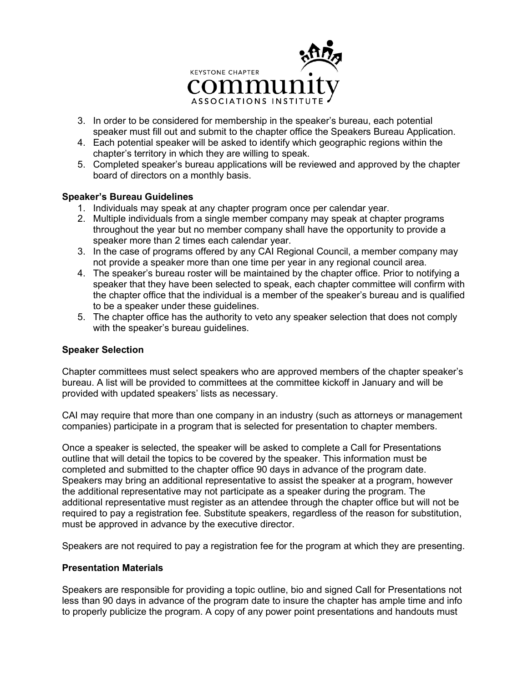

- 3. In order to be considered for membership in the speaker's bureau, each potential speaker must fill out and submit to the chapter office the Speakers Bureau Application.
- 4. Each potential speaker will be asked to identify which geographic regions within the chapter's territory in which they are willing to speak.
- 5. Completed speaker's bureau applications will be reviewed and approved by the chapter board of directors on a monthly basis.

## **Speaker's Bureau Guidelines**

- 1. Individuals may speak at any chapter program once per calendar year.
- 2. Multiple individuals from a single member company may speak at chapter programs throughout the year but no member company shall have the opportunity to provide a speaker more than 2 times each calendar year.
- 3. In the case of programs offered by any CAI Regional Council, a member company may not provide a speaker more than one time per year in any regional council area.
- 4. The speaker's bureau roster will be maintained by the chapter office. Prior to notifying a speaker that they have been selected to speak, each chapter committee will confirm with the chapter office that the individual is a member of the speaker's bureau and is qualified to be a speaker under these guidelines.
- 5. The chapter office has the authority to veto any speaker selection that does not comply with the speaker's bureau guidelines.

#### **Speaker Selection**

Chapter committees must select speakers who are approved members of the chapter speaker's bureau. A list will be provided to committees at the committee kickoff in January and will be provided with updated speakers' lists as necessary.

CAI may require that more than one company in an industry (such as attorneys or management companies) participate in a program that is selected for presentation to chapter members.

Once a speaker is selected, the speaker will be asked to complete a Call for Presentations outline that will detail the topics to be covered by the speaker. This information must be completed and submitted to the chapter office 90 days in advance of the program date. Speakers may bring an additional representative to assist the speaker at a program, however the additional representative may not participate as a speaker during the program. The additional representative must register as an attendee through the chapter office but will not be required to pay a registration fee. Substitute speakers, regardless of the reason for substitution, must be approved in advance by the executive director.

Speakers are not required to pay a registration fee for the program at which they are presenting.

#### **Presentation Materials**

Speakers are responsible for providing a topic outline, bio and signed Call for Presentations not less than 90 days in advance of the program date to insure the chapter has ample time and info to properly publicize the program. A copy of any power point presentations and handouts must